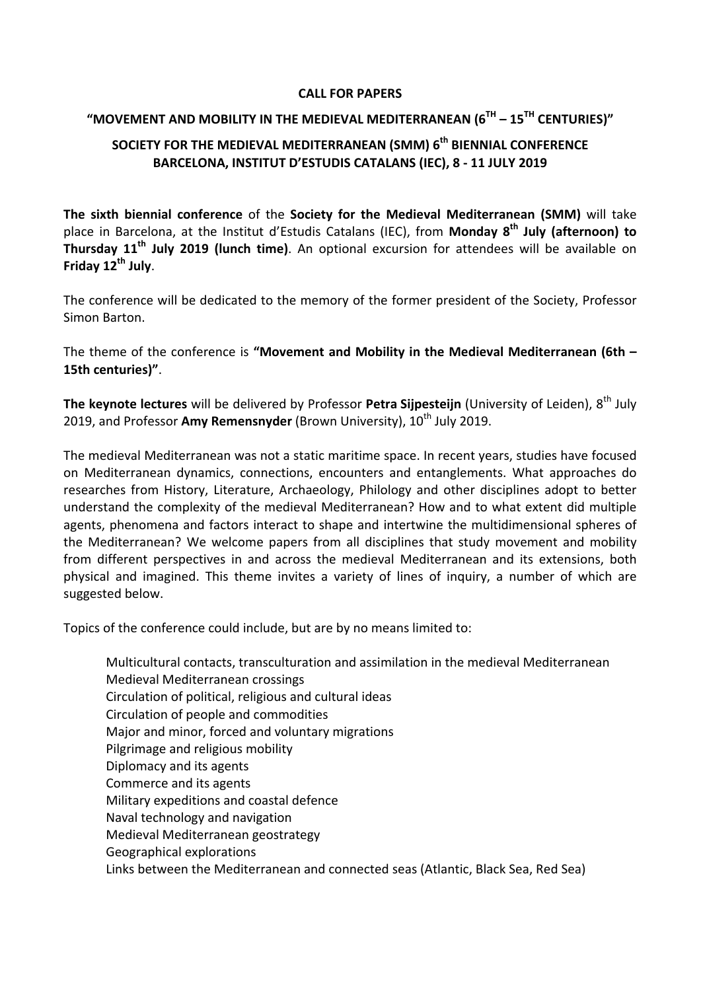### **CALL FOR PAPERS**

# **"MOVEMENT AND MOBILITY IN THE MEDIEVAL MEDITERRANEAN (6TH – 15TH CENTURIES)"**

## **SOCIETY FOR THE MEDIEVAL MEDITERRANEAN (SMM) 6th BIENNIAL CONFERENCE BARCELONA, INSTITUT D'ESTUDIS CATALANS (IEC), 8 ‐ 11 JULY 2019**

**The sixth biennial conference** of the **Society for the Medieval Mediterranean (SMM)** will take place in Barcelona, at the Institut d'Estudis Catalans (IEC), from **Monday 8th July (afternoon) to Thursday 11th July 2019 (lunch time)**. An optional excursion for attendees will be available on **Friday 12th July**.

The conference will be dedicated to the memory of the former president of the Society, Professor Simon Barton.

The theme of the conference is **"Movement and Mobility in the Medieval Mediterranean (6th – 15th centuries)"**.

**The keynote lectures** will be delivered by Professor **Petra Sijpesteijn** (University of Leiden), 8th July 2019, and Professor Amy Remensnyder (Brown University), 10<sup>th</sup> July 2019.

The medieval Mediterranean was not a static maritime space. In recent years, studies have focused on Mediterranean dynamics, connections, encounters and entanglements. What approaches do researches from History, Literature, Archaeology, Philology and other disciplines adopt to better understand the complexity of the medieval Mediterranean? How and to what extent did multiple agents, phenomena and factors interact to shape and intertwine the multidimensional spheres of the Mediterranean? We welcome papers from all disciplines that study movement and mobility from different perspectives in and across the medieval Mediterranean and its extensions, both physical and imagined. This theme invites a variety of lines of inquiry, a number of which are suggested below.

Topics of the conference could include, but are by no means limited to:

Multicultural contacts, transculturation and assimilation in the medieval Mediterranean Medieval Mediterranean crossings Circulation of political, religious and cultural ideas Circulation of people and commodities Major and minor, forced and voluntary migrations Pilgrimage and religious mobility Diplomacy and its agents Commerce and its agents Military expeditions and coastal defence Naval technology and navigation Medieval Mediterranean geostrategy Geographical explorations Links between the Mediterranean and connected seas (Atlantic, Black Sea, Red Sea)